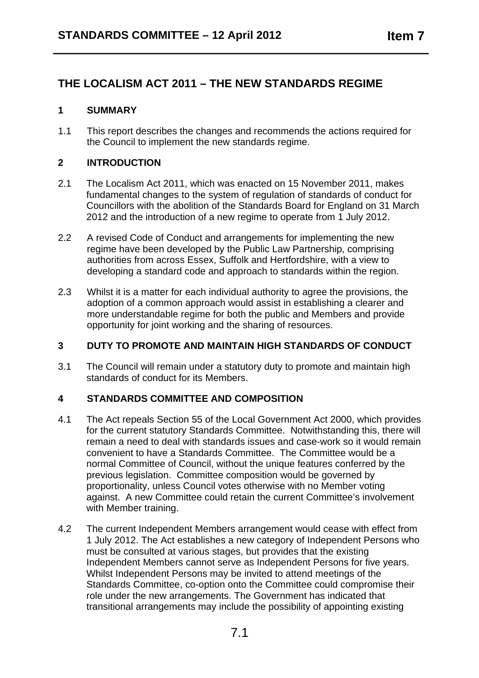# **THE LOCALISM ACT 2011 – THE NEW STANDARDS REGIME**

# **1 SUMMARY**

1.1 This report describes the changes and recommends the actions required for the Council to implement the new standards regime.

### **2 INTRODUCTION**

- 2.1 The Localism Act 2011, which was enacted on 15 November 2011, makes fundamental changes to the system of regulation of standards of conduct for Councillors with the abolition of the Standards Board for England on 31 March 2012 and the introduction of a new regime to operate from 1 July 2012.
- 2.2 A revised Code of Conduct and arrangements for implementing the new regime have been developed by the Public Law Partnership, comprising authorities from across Essex, Suffolk and Hertfordshire, with a view to developing a standard code and approach to standards within the region.
- 2.3 Whilst it is a matter for each individual authority to agree the provisions, the adoption of a common approach would assist in establishing a clearer and more understandable regime for both the public and Members and provide opportunity for joint working and the sharing of resources.

# **3 DUTY TO PROMOTE AND MAINTAIN HIGH STANDARDS OF CONDUCT**

3.1 The Council will remain under a statutory duty to promote and maintain high standards of conduct for its Members.

### **4 STANDARDS COMMITTEE AND COMPOSITION**

- 4.1 The Act repeals Section 55 of the Local Government Act 2000, which provides for the current statutory Standards Committee. Notwithstanding this, there will remain a need to deal with standards issues and case-work so it would remain convenient to have a Standards Committee. The Committee would be a normal Committee of Council, without the unique features conferred by the previous legislation. Committee composition would be governed by proportionality, unless Council votes otherwise with no Member voting against. A new Committee could retain the current Committee's involvement with Member training.
- 4.2 The current Independent Members arrangement would cease with effect from 1 July 2012. The Act establishes a new category of Independent Persons who must be consulted at various stages, but provides that the existing Independent Members cannot serve as Independent Persons for five years. Whilst Independent Persons may be invited to attend meetings of the Standards Committee, co-option onto the Committee could compromise their role under the new arrangements. The Government has indicated that transitional arrangements may include the possibility of appointing existing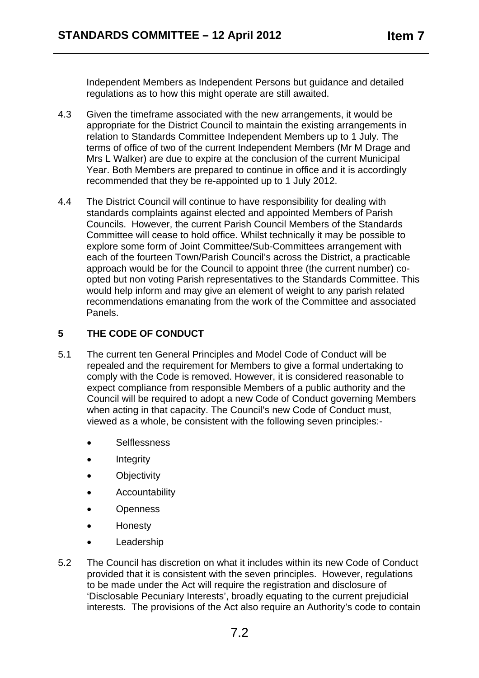Independent Members as Independent Persons but guidance and detailed regulations as to how this might operate are still awaited.

- 4.3 Given the timeframe associated with the new arrangements, it would be appropriate for the District Council to maintain the existing arrangements in relation to Standards Committee Independent Members up to 1 July. The terms of office of two of the current Independent Members (Mr M Drage and Mrs L Walker) are due to expire at the conclusion of the current Municipal Year. Both Members are prepared to continue in office and it is accordingly recommended that they be re-appointed up to 1 July 2012.
- 4.4 The District Council will continue to have responsibility for dealing with standards complaints against elected and appointed Members of Parish Councils. However, the current Parish Council Members of the Standards Committee will cease to hold office. Whilst technically it may be possible to explore some form of Joint Committee/Sub-Committees arrangement with each of the fourteen Town/Parish Council's across the District, a practicable approach would be for the Council to appoint three (the current number) coopted but non voting Parish representatives to the Standards Committee. This would help inform and may give an element of weight to any parish related recommendations emanating from the work of the Committee and associated Panels.

# **5 THE CODE OF CONDUCT**

- 5.1 The current ten General Principles and Model Code of Conduct will be repealed and the requirement for Members to give a formal undertaking to comply with the Code is removed. However, it is considered reasonable to expect compliance from responsible Members of a public authority and the Council will be required to adopt a new Code of Conduct governing Members when acting in that capacity. The Council's new Code of Conduct must, viewed as a whole, be consistent with the following seven principles:-
	- Selflessness
	- **Integrity**
	- Objectivity
	- Accountability
	- Openness
	- Honesty
	- Leadership
- 5.2 The Council has discretion on what it includes within its new Code of Conduct provided that it is consistent with the seven principles. However, regulations to be made under the Act will require the registration and disclosure of 'Disclosable Pecuniary Interests', broadly equating to the current prejudicial interests. The provisions of the Act also require an Authority's code to contain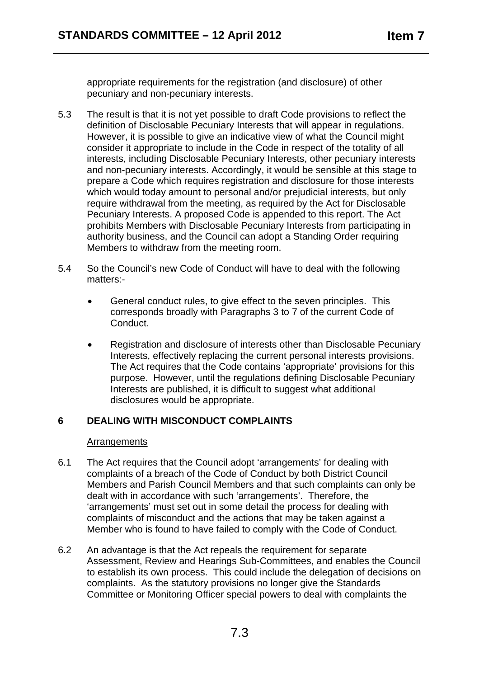appropriate requirements for the registration (and disclosure) of other pecuniary and non-pecuniary interests.

- 5.3 The result is that it is not yet possible to draft Code provisions to reflect the definition of Disclosable Pecuniary Interests that will appear in regulations. However, it is possible to give an indicative view of what the Council might consider it appropriate to include in the Code in respect of the totality of all interests, including Disclosable Pecuniary Interests, other pecuniary interests and non-pecuniary interests. Accordingly, it would be sensible at this stage to prepare a Code which requires registration and disclosure for those interests which would today amount to personal and/or prejudicial interests, but only require withdrawal from the meeting, as required by the Act for Disclosable Pecuniary Interests. A proposed Code is appended to this report. The Act prohibits Members with Disclosable Pecuniary Interests from participating in authority business, and the Council can adopt a Standing Order requiring Members to withdraw from the meeting room.
- 5.4 So the Council's new Code of Conduct will have to deal with the following matters:-
	- General conduct rules, to give effect to the seven principles. This corresponds broadly with Paragraphs 3 to 7 of the current Code of Conduct.
	- Registration and disclosure of interests other than Disclosable Pecuniary Interests, effectively replacing the current personal interests provisions. The Act requires that the Code contains 'appropriate' provisions for this purpose. However, until the regulations defining Disclosable Pecuniary Interests are published, it is difficult to suggest what additional disclosures would be appropriate.

# **6 DEALING WITH MISCONDUCT COMPLAINTS**

### **Arrangements**

- 6.1 The Act requires that the Council adopt 'arrangements' for dealing with complaints of a breach of the Code of Conduct by both District Council Members and Parish Council Members and that such complaints can only be dealt with in accordance with such 'arrangements'. Therefore, the 'arrangements' must set out in some detail the process for dealing with complaints of misconduct and the actions that may be taken against a Member who is found to have failed to comply with the Code of Conduct.
- 6.2 An advantage is that the Act repeals the requirement for separate Assessment, Review and Hearings Sub-Committees, and enables the Council to establish its own process. This could include the delegation of decisions on complaints. As the statutory provisions no longer give the Standards Committee or Monitoring Officer special powers to deal with complaints the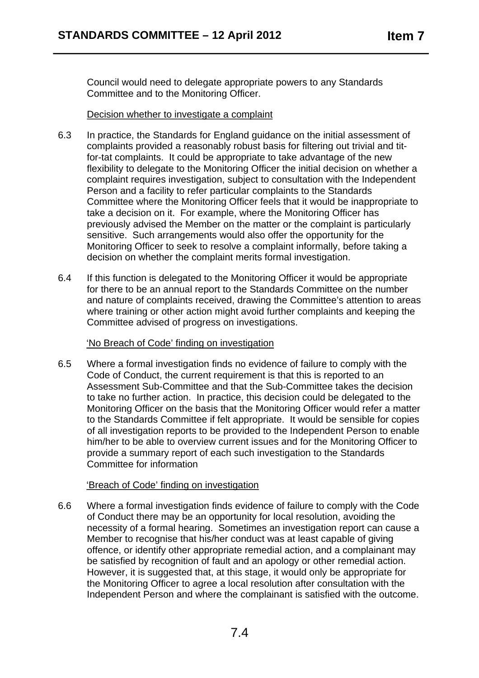Council would need to delegate appropriate powers to any Standards Committee and to the Monitoring Officer.

### Decision whether to investigate a complaint

- 6.3 In practice, the Standards for England guidance on the initial assessment of complaints provided a reasonably robust basis for filtering out trivial and titfor-tat complaints. It could be appropriate to take advantage of the new flexibility to delegate to the Monitoring Officer the initial decision on whether a complaint requires investigation, subject to consultation with the Independent Person and a facility to refer particular complaints to the Standards Committee where the Monitoring Officer feels that it would be inappropriate to take a decision on it. For example, where the Monitoring Officer has previously advised the Member on the matter or the complaint is particularly sensitive. Such arrangements would also offer the opportunity for the Monitoring Officer to seek to resolve a complaint informally, before taking a decision on whether the complaint merits formal investigation.
- 6.4 If this function is delegated to the Monitoring Officer it would be appropriate for there to be an annual report to the Standards Committee on the number and nature of complaints received, drawing the Committee's attention to areas where training or other action might avoid further complaints and keeping the Committee advised of progress on investigations.

# 'No Breach of Code' finding on investigation

6.5 Where a formal investigation finds no evidence of failure to comply with the Code of Conduct, the current requirement is that this is reported to an Assessment Sub-Committee and that the Sub-Committee takes the decision to take no further action. In practice, this decision could be delegated to the Monitoring Officer on the basis that the Monitoring Officer would refer a matter to the Standards Committee if felt appropriate. It would be sensible for copies of all investigation reports to be provided to the Independent Person to enable him/her to be able to overview current issues and for the Monitoring Officer to provide a summary report of each such investigation to the Standards Committee for information

# 'Breach of Code' finding on investigation

6.6 Where a formal investigation finds evidence of failure to comply with the Code of Conduct there may be an opportunity for local resolution, avoiding the necessity of a formal hearing. Sometimes an investigation report can cause a Member to recognise that his/her conduct was at least capable of giving offence, or identify other appropriate remedial action, and a complainant may be satisfied by recognition of fault and an apology or other remedial action. However, it is suggested that, at this stage, it would only be appropriate for the Monitoring Officer to agree a local resolution after consultation with the Independent Person and where the complainant is satisfied with the outcome.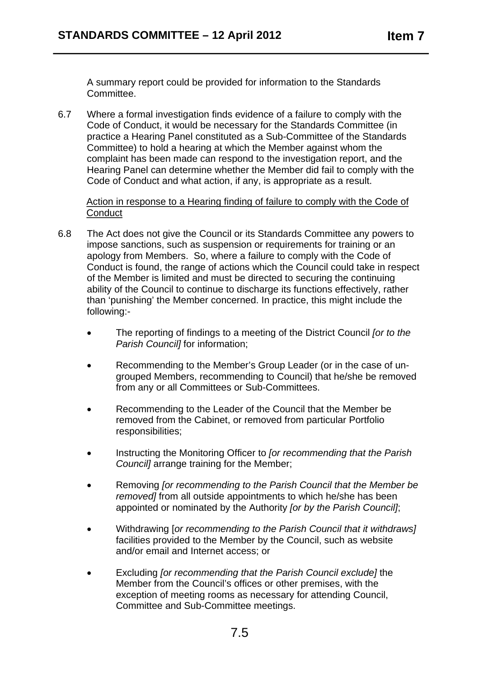A summary report could be provided for information to the Standards Committee.

6.7 Where a formal investigation finds evidence of a failure to comply with the Code of Conduct, it would be necessary for the Standards Committee (in practice a Hearing Panel constituted as a Sub-Committee of the Standards Committee) to hold a hearing at which the Member against whom the complaint has been made can respond to the investigation report, and the Hearing Panel can determine whether the Member did fail to comply with the Code of Conduct and what action, if any, is appropriate as a result.

Action in response to a Hearing finding of failure to comply with the Code of **Conduct** 

- 6.8 The Act does not give the Council or its Standards Committee any powers to impose sanctions, such as suspension or requirements for training or an apology from Members. So, where a failure to comply with the Code of Conduct is found, the range of actions which the Council could take in respect of the Member is limited and must be directed to securing the continuing ability of the Council to continue to discharge its functions effectively, rather than 'punishing' the Member concerned. In practice, this might include the following:-
	- The reporting of findings to a meeting of the District Council *for to the Parish Council]* for information;
	- Recommending to the Member's Group Leader (or in the case of ungrouped Members, recommending to Council) that he/she be removed from any or all Committees or Sub-Committees.
	- Recommending to the Leader of the Council that the Member be removed from the Cabinet, or removed from particular Portfolio responsibilities;
	- Instructing the Monitoring Officer to *for recommending that the Parish Council]* arrange training for the Member;
	- Removing *[or recommending to the Parish Council that the Member be removed]* from all outside appointments to which he/she has been appointed or nominated by the Authority *[or by the Parish Council]*;
	- Withdrawing [*or recommending to the Parish Council that it withdraws]*  facilities provided to the Member by the Council, such as website and/or email and Internet access; or
	- Excluding *[or recommending that the Parish Council exclude]* the Member from the Council's offices or other premises, with the exception of meeting rooms as necessary for attending Council, Committee and Sub-Committee meetings.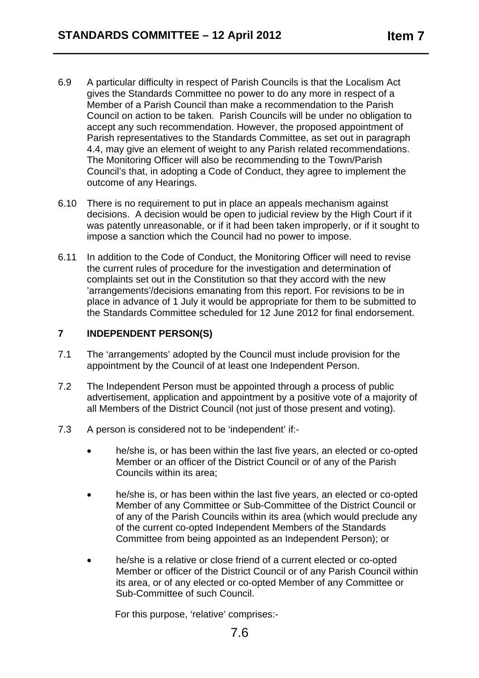- 6.9 A particular difficulty in respect of Parish Councils is that the Localism Act gives the Standards Committee no power to do any more in respect of a Member of a Parish Council than make a recommendation to the Parish Council on action to be taken. Parish Councils will be under no obligation to accept any such recommendation. However, the proposed appointment of Parish representatives to the Standards Committee, as set out in paragraph 4.4, may give an element of weight to any Parish related recommendations. The Monitoring Officer will also be recommending to the Town/Parish Council's that, in adopting a Code of Conduct, they agree to implement the outcome of any Hearings.
- 6.10 There is no requirement to put in place an appeals mechanism against decisions. A decision would be open to judicial review by the High Court if it was patently unreasonable, or if it had been taken improperly, or if it sought to impose a sanction which the Council had no power to impose.
- 6.11 In addition to the Code of Conduct, the Monitoring Officer will need to revise the current rules of procedure for the investigation and determination of complaints set out in the Constitution so that they accord with the new 'arrangements'/decisions emanating from this report. For revisions to be in place in advance of 1 July it would be appropriate for them to be submitted to the Standards Committee scheduled for 12 June 2012 for final endorsement.

# **7 INDEPENDENT PERSON(S)**

- 7.1 The 'arrangements' adopted by the Council must include provision for the appointment by the Council of at least one Independent Person.
- 7.2 The Independent Person must be appointed through a process of public advertisement, application and appointment by a positive vote of a majority of all Members of the District Council (not just of those present and voting).
- 7.3 A person is considered not to be 'independent' if:-
	- he/she is, or has been within the last five years, an elected or co-opted Member or an officer of the District Council or of any of the Parish Councils within its area;
	- he/she is, or has been within the last five years, an elected or co-opted Member of any Committee or Sub-Committee of the District Council or of any of the Parish Councils within its area (which would preclude any of the current co-opted Independent Members of the Standards Committee from being appointed as an Independent Person); or
	- he/she is a relative or close friend of a current elected or co-opted Member or officer of the District Council or of any Parish Council within its area, or of any elected or co-opted Member of any Committee or Sub-Committee of such Council.

For this purpose, 'relative' comprises:-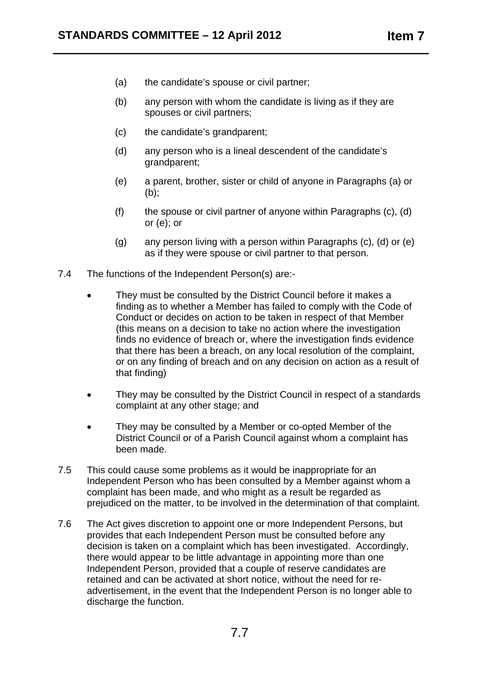- (a) the candidate's spouse or civil partner;
- $(b)$  any person with whom the candidate is living as if they are spouses or civil partners;
- (c) the candidate's grandparent;
- (d) any person who is a lineal descendent of the candidate's grandparent;
- (e) a parent, brother, sister or child of anyone in Paragraphs (a) or (b);
- $(f)$  the spouse or civil partner of anyone within Paragraphs  $(c)$ ,  $(d)$ or (e); or
- $(g)$  any person living with a person within Paragraphs  $(c)$ ,  $(d)$  or  $(e)$ as if they were spouse or civil partner to that person.
- 7.4 The functions of the Independent Person(s) are:-
	- They must be consulted by the District Council before it makes a finding as to whether a Member has failed to comply with the Code of Conduct or decides on action to be taken in respect of that Member (this means on a decision to take no action where the investigation finds no evidence of breach or, where the investigation finds evidence that there has been a breach, on any local resolution of the complaint, or on any finding of breach and on any decision on action as a result of that finding)
	- They may be consulted by the District Council in respect of a standards complaint at any other stage; and
	- They may be consulted by a Member or co-opted Member of the District Council or of a Parish Council against whom a complaint has been made.
- 7.5 This could cause some problems as it would be inappropriate for an Independent Person who has been consulted by a Member against whom a complaint has been made, and who might as a result be regarded as prejudiced on the matter, to be involved in the determination of that complaint.
- 7.6 The Act gives discretion to appoint one or more Independent Persons, but provides that each Independent Person must be consulted before any decision is taken on a complaint which has been investigated. Accordingly, there would appear to be little advantage in appointing more than one Independent Person, provided that a couple of reserve candidates are retained and can be activated at short notice, without the need for readvertisement, in the event that the Independent Person is no longer able to discharge the function.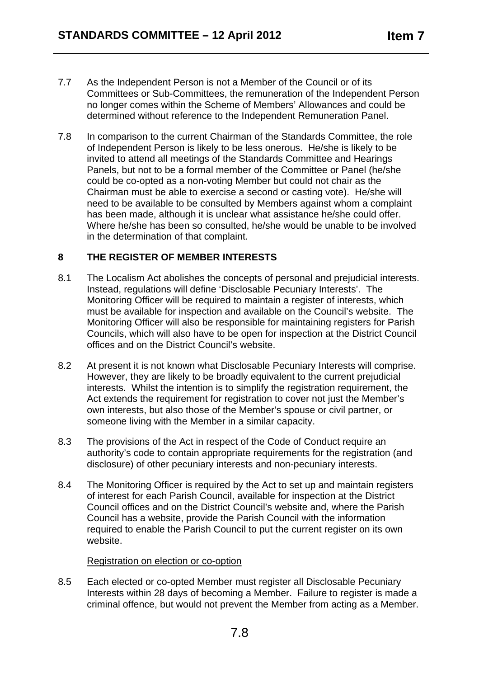- 7.7 As the Independent Person is not a Member of the Council or of its Committees or Sub-Committees, the remuneration of the Independent Person no longer comes within the Scheme of Members' Allowances and could be determined without reference to the Independent Remuneration Panel.
- 7.8 In comparison to the current Chairman of the Standards Committee, the role of Independent Person is likely to be less onerous. He/she is likely to be invited to attend all meetings of the Standards Committee and Hearings Panels, but not to be a formal member of the Committee or Panel (he/she could be co-opted as a non-voting Member but could not chair as the Chairman must be able to exercise a second or casting vote). He/she will need to be available to be consulted by Members against whom a complaint has been made, although it is unclear what assistance he/she could offer. Where he/she has been so consulted, he/she would be unable to be involved in the determination of that complaint.

# **8 THE REGISTER OF MEMBER INTERESTS**

- 8.1 The Localism Act abolishes the concepts of personal and prejudicial interests. Instead, regulations will define 'Disclosable Pecuniary Interests'. The Monitoring Officer will be required to maintain a register of interests, which must be available for inspection and available on the Council's website. The Monitoring Officer will also be responsible for maintaining registers for Parish Councils, which will also have to be open for inspection at the District Council offices and on the District Council's website.
- 8.2 At present it is not known what Disclosable Pecuniary Interests will comprise. However, they are likely to be broadly equivalent to the current prejudicial interests. Whilst the intention is to simplify the registration requirement, the Act extends the requirement for registration to cover not just the Member's own interests, but also those of the Member's spouse or civil partner, or someone living with the Member in a similar capacity.
- 8.3 The provisions of the Act in respect of the Code of Conduct require an authority's code to contain appropriate requirements for the registration (and disclosure) of other pecuniary interests and non-pecuniary interests.
- 8.4 The Monitoring Officer is required by the Act to set up and maintain registers of interest for each Parish Council, available for inspection at the District Council offices and on the District Council's website and, where the Parish Council has a website, provide the Parish Council with the information required to enable the Parish Council to put the current register on its own website.

### Registration on election or co-option

8.5 Each elected or co-opted Member must register all Disclosable Pecuniary Interests within 28 days of becoming a Member. Failure to register is made a criminal offence, but would not prevent the Member from acting as a Member.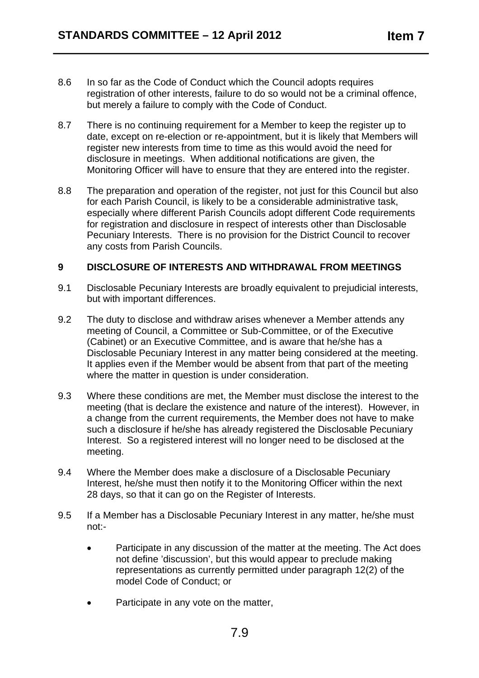- 8.6 In so far as the Code of Conduct which the Council adopts requires registration of other interests, failure to do so would not be a criminal offence, but merely a failure to comply with the Code of Conduct.
- 8.7 There is no continuing requirement for a Member to keep the register up to date, except on re-election or re-appointment, but it is likely that Members will register new interests from time to time as this would avoid the need for disclosure in meetings. When additional notifications are given, the Monitoring Officer will have to ensure that they are entered into the register.
- 8.8 The preparation and operation of the register, not just for this Council but also for each Parish Council, is likely to be a considerable administrative task, especially where different Parish Councils adopt different Code requirements for registration and disclosure in respect of interests other than Disclosable Pecuniary Interests. There is no provision for the District Council to recover any costs from Parish Councils.

### **9 DISCLOSURE OF INTERESTS AND WITHDRAWAL FROM MEETINGS**

- 9.1 Disclosable Pecuniary Interests are broadly equivalent to prejudicial interests, but with important differences.
- 9.2 The duty to disclose and withdraw arises whenever a Member attends any meeting of Council, a Committee or Sub-Committee, or of the Executive (Cabinet) or an Executive Committee, and is aware that he/she has a Disclosable Pecuniary Interest in any matter being considered at the meeting. It applies even if the Member would be absent from that part of the meeting where the matter in question is under consideration.
- 9.3 Where these conditions are met, the Member must disclose the interest to the meeting (that is declare the existence and nature of the interest). However, in a change from the current requirements, the Member does not have to make such a disclosure if he/she has already registered the Disclosable Pecuniary Interest. So a registered interest will no longer need to be disclosed at the meeting.
- 9.4 Where the Member does make a disclosure of a Disclosable Pecuniary Interest, he/she must then notify it to the Monitoring Officer within the next 28 days, so that it can go on the Register of Interests.
- 9.5 If a Member has a Disclosable Pecuniary Interest in any matter, he/she must not:-
	- Participate in any discussion of the matter at the meeting. The Act does not define 'discussion', but this would appear to preclude making representations as currently permitted under paragraph 12(2) of the model Code of Conduct; or
	- Participate in any vote on the matter,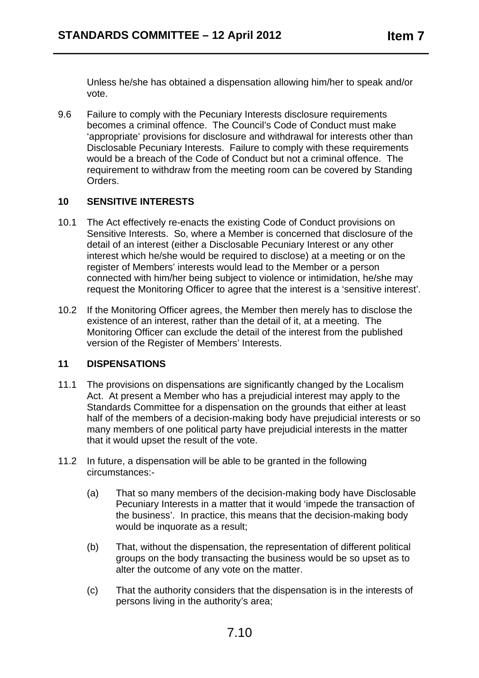Unless he/she has obtained a dispensation allowing him/her to speak and/or vote.

9.6 Failure to comply with the Pecuniary Interests disclosure requirements becomes a criminal offence. The Council's Code of Conduct must make 'appropriate' provisions for disclosure and withdrawal for interests other than Disclosable Pecuniary Interests. Failure to comply with these requirements would be a breach of the Code of Conduct but not a criminal offence. The requirement to withdraw from the meeting room can be covered by Standing Orders.

# **10 SENSITIVE INTERESTS**

- 10.1 The Act effectively re-enacts the existing Code of Conduct provisions on Sensitive Interests. So, where a Member is concerned that disclosure of the detail of an interest (either a Disclosable Pecuniary Interest or any other interest which he/she would be required to disclose) at a meeting or on the register of Members' interests would lead to the Member or a person connected with him/her being subject to violence or intimidation, he/she may request the Monitoring Officer to agree that the interest is a 'sensitive interest'.
- 10.2 If the Monitoring Officer agrees, the Member then merely has to disclose the existence of an interest, rather than the detail of it, at a meeting. The Monitoring Officer can exclude the detail of the interest from the published version of the Register of Members' Interests.

# **11 DISPENSATIONS**

- 11.1 The provisions on dispensations are significantly changed by the Localism Act. At present a Member who has a prejudicial interest may apply to the Standards Committee for a dispensation on the grounds that either at least half of the members of a decision-making body have prejudicial interests or so many members of one political party have prejudicial interests in the matter that it would upset the result of the vote.
- 11.2 In future, a dispensation will be able to be granted in the following circumstances:-
	- (a) That so many members of the decision-making body have Disclosable Pecuniary Interests in a matter that it would 'impede the transaction of the business'. In practice, this means that the decision-making body would be inquorate as a result:
	- (b) That, without the dispensation, the representation of different political groups on the body transacting the business would be so upset as to alter the outcome of any vote on the matter.
	- (c) That the authority considers that the dispensation is in the interests of persons living in the authority's area;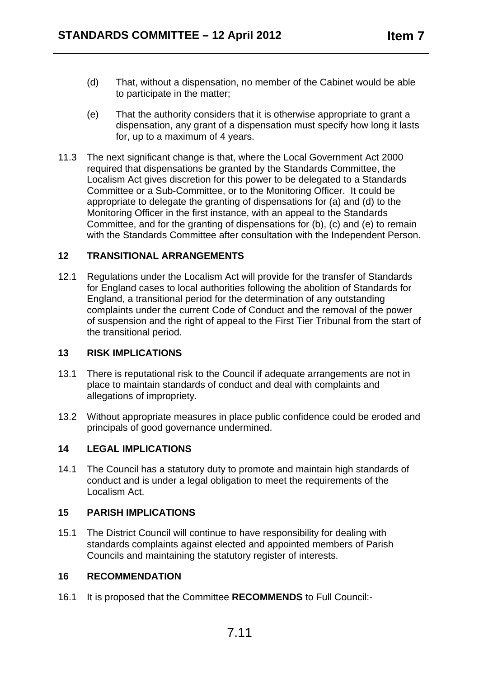- (d) That, without a dispensation, no member of the Cabinet would be able to participate in the matter;
- (e) That the authority considers that it is otherwise appropriate to grant a dispensation, any grant of a dispensation must specify how long it lasts for, up to a maximum of 4 years.
- 11.3 The next significant change is that, where the Local Government Act 2000 required that dispensations be granted by the Standards Committee, the Localism Act gives discretion for this power to be delegated to a Standards Committee or a Sub-Committee, or to the Monitoring Officer. It could be appropriate to delegate the granting of dispensations for (a) and (d) to the Monitoring Officer in the first instance, with an appeal to the Standards Committee, and for the granting of dispensations for (b), (c) and (e) to remain with the Standards Committee after consultation with the Independent Person.

### **12 TRANSITIONAL ARRANGEMENTS**

12.1 Regulations under the Localism Act will provide for the transfer of Standards for England cases to local authorities following the abolition of Standards for England, a transitional period for the determination of any outstanding complaints under the current Code of Conduct and the removal of the power of suspension and the right of appeal to the First Tier Tribunal from the start of the transitional period.

### **13 RISK IMPLICATIONS**

- 13.1 There is reputational risk to the Council if adequate arrangements are not in place to maintain standards of conduct and deal with complaints and allegations of impropriety.
- 13.2 Without appropriate measures in place public confidence could be eroded and principals of good governance undermined.

# **14 LEGAL IMPLICATIONS**

14.1 The Council has a statutory duty to promote and maintain high standards of conduct and is under a legal obligation to meet the requirements of the Localism Act.

### **15 PARISH IMPLICATIONS**

15.1 The District Council will continue to have responsibility for dealing with standards complaints against elected and appointed members of Parish Councils and maintaining the statutory register of interests.

# **16 RECOMMENDATION**

16.1 It is proposed that the Committee **RECOMMENDS** to Full Council:-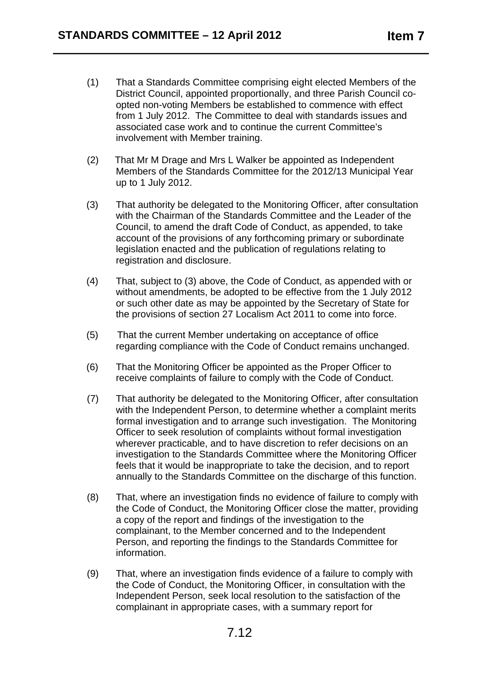- (1) That a Standards Committee comprising eight elected Members of the District Council, appointed proportionally, and three Parish Council coopted non-voting Members be established to commence with effect from 1 July 2012. The Committee to deal with standards issues and associated case work and to continue the current Committee's involvement with Member training.
- (2) That Mr M Drage and Mrs L Walker be appointed as Independent Members of the Standards Committee for the 2012/13 Municipal Year up to 1 July 2012.
- (3) That authority be delegated to the Monitoring Officer, after consultation with the Chairman of the Standards Committee and the Leader of the Council, to amend the draft Code of Conduct, as appended, to take account of the provisions of any forthcoming primary or subordinate legislation enacted and the publication of regulations relating to registration and disclosure.
- (4) That, subject to (3) above, the Code of Conduct, as appended with or without amendments, be adopted to be effective from the 1 July 2012 or such other date as may be appointed by the Secretary of State for the provisions of section 27 Localism Act 2011 to come into force.
- (5) That the current Member undertaking on acceptance of office regarding compliance with the Code of Conduct remains unchanged.
- (6) That the Monitoring Officer be appointed as the Proper Officer to receive complaints of failure to comply with the Code of Conduct.
- (7) That authority be delegated to the Monitoring Officer, after consultation with the Independent Person, to determine whether a complaint merits formal investigation and to arrange such investigation. The Monitoring Officer to seek resolution of complaints without formal investigation wherever practicable, and to have discretion to refer decisions on an investigation to the Standards Committee where the Monitoring Officer feels that it would be inappropriate to take the decision, and to report annually to the Standards Committee on the discharge of this function.
- (8) That, where an investigation finds no evidence of failure to comply with the Code of Conduct, the Monitoring Officer close the matter, providing a copy of the report and findings of the investigation to the complainant, to the Member concerned and to the Independent Person, and reporting the findings to the Standards Committee for information.
- (9) That, where an investigation finds evidence of a failure to comply with the Code of Conduct, the Monitoring Officer, in consultation with the Independent Person, seek local resolution to the satisfaction of the complainant in appropriate cases, with a summary report for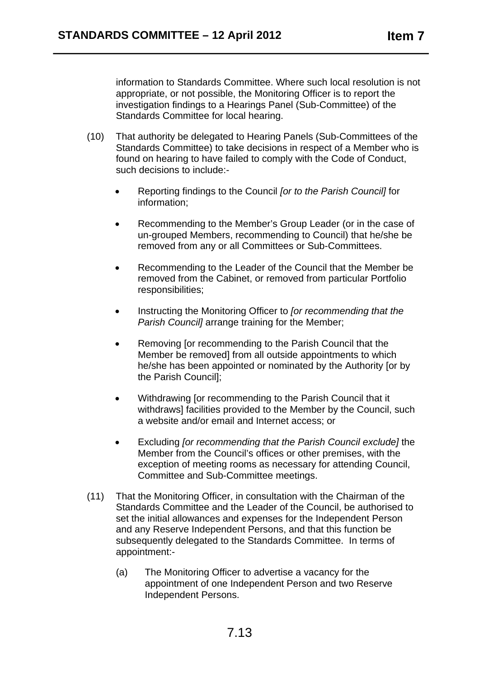information to Standards Committee. Where such local resolution is not appropriate, or not possible, the Monitoring Officer is to report the investigation findings to a Hearings Panel (Sub-Committee) of the Standards Committee for local hearing.

- (10) That authority be delegated to Hearing Panels (Sub-Committees of the Standards Committee) to take decisions in respect of a Member who is found on hearing to have failed to comply with the Code of Conduct, such decisions to include:-
	- • Reporting findings to the Council *[or to the Parish Council]* for information;
	- Recommending to the Member's Group Leader (or in the case of un-grouped Members, recommending to Council) that he/she be removed from any or all Committees or Sub-Committees.
	- Recommending to the Leader of the Council that the Member be removed from the Cabinet, or removed from particular Portfolio responsibilities;
	- • Instructing the Monitoring Officer to *[or recommending that the Parish Councill* arrange training for the Member:
	- Removing for recommending to the Parish Council that the Member be removed] from all outside appointments to which he/she has been appointed or nominated by the Authority [or by the Parish Council];
	- Withdrawing [or recommending to the Parish Council that it withdraws] facilities provided to the Member by the Council, such a website and/or email and Internet access; or
	- Excluding *[or recommending that the Parish Council exclude]* the Member from the Council's offices or other premises, with the exception of meeting rooms as necessary for attending Council, Committee and Sub-Committee meetings.
- (11) That the Monitoring Officer, in consultation with the Chairman of the Standards Committee and the Leader of the Council, be authorised to set the initial allowances and expenses for the Independent Person and any Reserve Independent Persons, and that this function be subsequently delegated to the Standards Committee. In terms of appointment:-
	- (a) The Monitoring Officer to advertise a vacancy for the appointment of one Independent Person and two Reserve Independent Persons.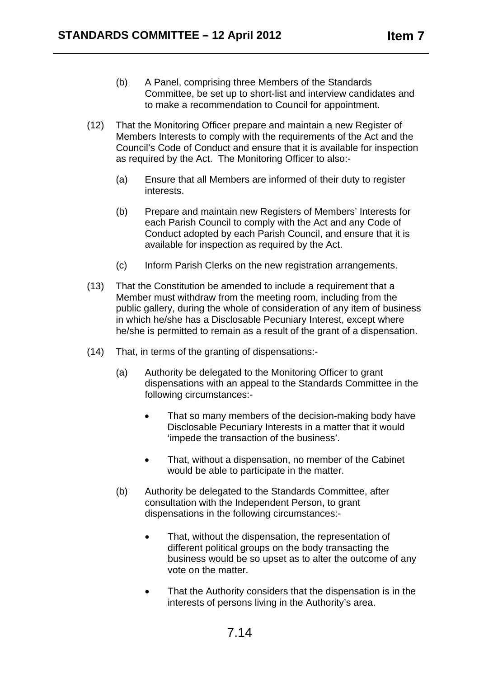- (b) A Panel, comprising three Members of the Standards Committee, be set up to short-list and interview candidates and to make a recommendation to Council for appointment.
- (12) That the Monitoring Officer prepare and maintain a new Register of Members Interests to comply with the requirements of the Act and the Council's Code of Conduct and ensure that it is available for inspection as required by the Act. The Monitoring Officer to also:-
	- (a) Ensure that all Members are informed of their duty to register interests.
	- (b) Prepare and maintain new Registers of Members' Interests for each Parish Council to comply with the Act and any Code of Conduct adopted by each Parish Council, and ensure that it is available for inspection as required by the Act.
	- (c) Inform Parish Clerks on the new registration arrangements.
- (13) That the Constitution be amended to include a requirement that a Member must withdraw from the meeting room, including from the public gallery, during the whole of consideration of any item of business in which he/she has a Disclosable Pecuniary Interest, except where he/she is permitted to remain as a result of the grant of a dispensation.
- (14) That, in terms of the granting of dispensations:-
	- (a) Authority be delegated to the Monitoring Officer to grant dispensations with an appeal to the Standards Committee in the following circumstances:-
		- That so many members of the decision-making body have Disclosable Pecuniary Interests in a matter that it would 'impede the transaction of the business'.
		- That, without a dispensation, no member of the Cabinet would be able to participate in the matter.
	- (b) Authority be delegated to the Standards Committee, after consultation with the Independent Person, to grant dispensations in the following circumstances:-
		- That, without the dispensation, the representation of different political groups on the body transacting the business would be so upset as to alter the outcome of any vote on the matter.
		- That the Authority considers that the dispensation is in the interests of persons living in the Authority's area.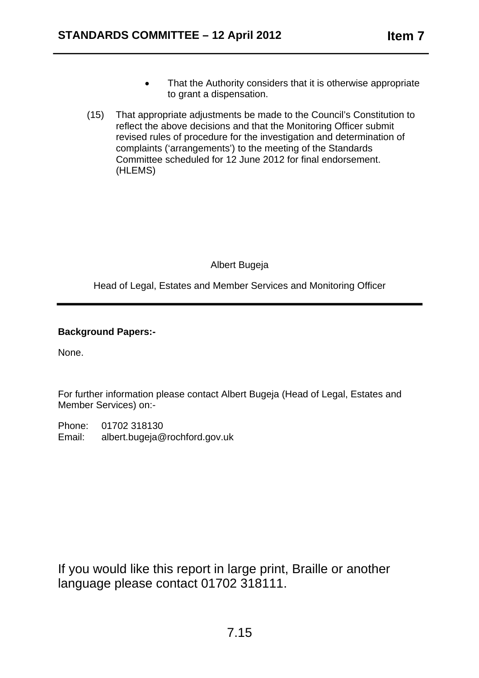- • to grant a dispensation. That the Authority considers that it is otherwise appropriate
- (15) (HLEMS) That appropriate adjustments be made to the Council's Constitution to reflect the above decisions and that the Monitoring Officer submit revised rules of procedure for the investigation and determination of complaints ('arrangements') to the meeting of the Standards Committee scheduled for 12 June 2012 for final endorsement.

Albert Bugeja

Head of Legal, Estates and Member Services and Monitoring Officer

# **Background Papers:-**

None.

For further information please contact Albert Bugeja (Head of Legal, Estates and Member Services) on:-

Phone: 01702 318130 Email: albert.bugeja@rochford.gov.uk

If you would like this report in large print, Braille or another language please contact 01702 318111.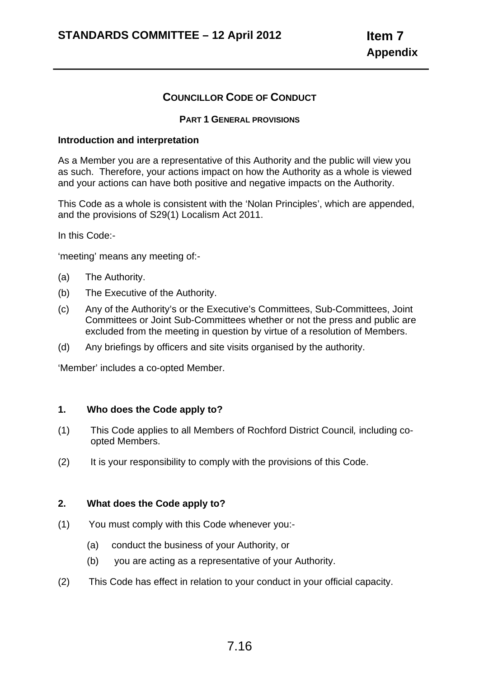# **COUNCILLOR CODE OF CONDUCT**

#### **PART 1 GENERAL PROVISIONS**

#### **Introduction and interpretation**

As a Member you are a representative of this Authority and the public will view you as such. Therefore, your actions impact on how the Authority as a whole is viewed and your actions can have both positive and negative impacts on the Authority.

This Code as a whole is consistent with the 'Nolan Principles', which are appended, and the provisions of S29(1) Localism Act 2011.

In this Code:-

'meeting' means any meeting of:-

- (a) The Authority.
- (b) The Executive of the Authority.
- (c) Any of the Authority's or the Executive's Committees, Sub-Committees, Joint Committees or Joint Sub-Committees whether or not the press and public are excluded from the meeting in question by virtue of a resolution of Members.
- (d) Any briefings by officers and site visits organised by the authority.

'Member' includes a co-opted Member.

#### **1. Who does the Code apply to?**

- (1) This Code applies to all Members of Rochford District Council*,* including coopted Members.
- (2) It is your responsibility to comply with the provisions of this Code.

### **2. What does the Code apply to?**

- (1) You must comply with this Code whenever you:-
	- (a) conduct the business of your Authority, or
	- (b) you are acting as a representative of your Authority.
- (2) This Code has effect in relation to your conduct in your official capacity.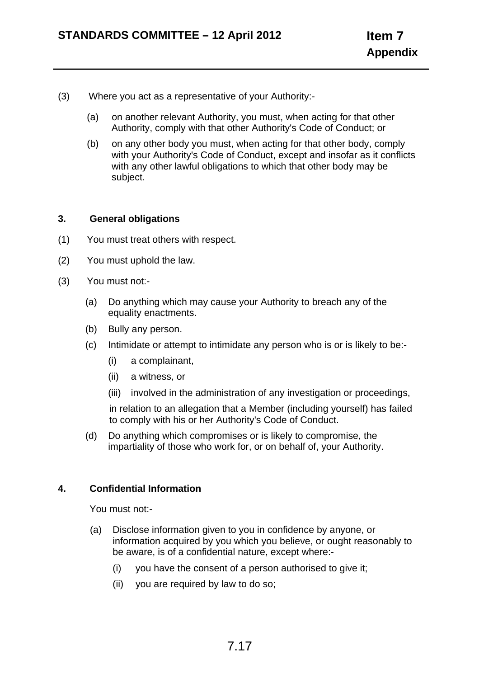- (3) Where you act as a representative of your Authority:-
	- (a) on another relevant Authority, you must, when acting for that other Authority, comply with that other Authority's Code of Conduct; or
	- (b) on any other body you must, when acting for that other body, comply with your Authority's Code of Conduct, except and insofar as it conflicts with any other lawful obligations to which that other body may be subject.

#### **3. General obligations**

- (1) You must treat others with respect.
- (2) You must uphold the law.
- (3) You must not:-
	- (a) Do anything which may cause your Authority to breach any of the equality enactments.
	- (b) Bully any person.
	- (c) Intimidate or attempt to intimidate any person who is or is likely to be:-
		- (i) a complainant,
		- (ii) a witness, or
		- (iii) involved in the administration of any investigation or proceedings,

in relation to an allegation that a Member (including yourself) has failed to comply with his or her Authority's Code of Conduct.

(d) Do anything which compromises or is likely to compromise, the impartiality of those who work for, or on behalf of, your Authority.

### **4. Confidential Information**

You must not:-

- (a) Disclose information given to you in confidence by anyone, or information acquired by you which you believe, or ought reasonably to be aware, is of a confidential nature, except where:-
	- (i) you have the consent of a person authorised to give it;
	- (ii) you are required by law to do so;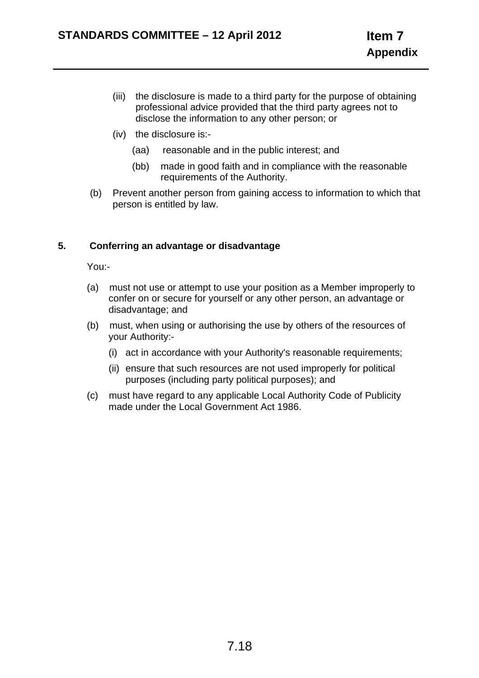- (iii) the disclosure is made to a third party for the purpose of obtaining professional advice provided that the third party agrees not to disclose the information to any other person; or
- (iv) the disclosure is:-
	- (aa) reasonable and in the public interest; and
	- (bb) made in good faith and in compliance with the reasonable requirements of the Authority.
- (b) Prevent another person from gaining access to information to which that person is entitled by law.

### **5. Conferring an advantage or disadvantage**

You:-

- (a) must not use or attempt to use your position as a Member improperly to confer on or secure for yourself or any other person, an advantage or disadvantage; and
- (b) must, when using or authorising the use by others of the resources of your Authority:-
	- (i) act in accordance with your Authority's reasonable requirements;
	- (ii) ensure that such resources are not used improperly for political purposes (including party political purposes); and
- (c) must have regard to any applicable Local Authority Code of Publicity made under the Local Government Act 1986.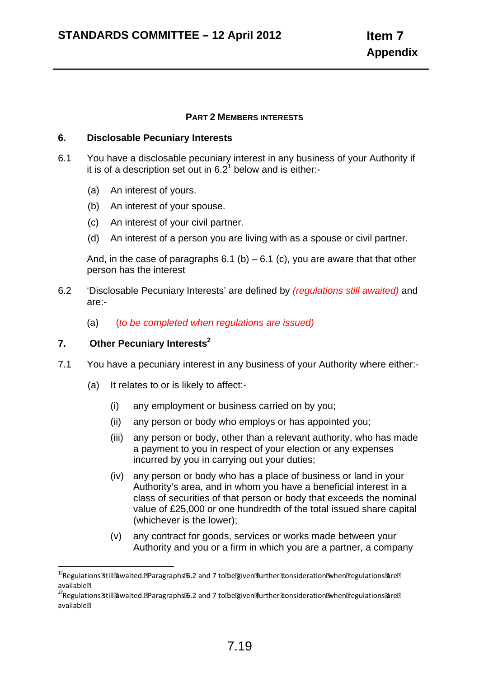#### **PART 2 MEMBERS INTERESTS**

#### **6. Disclosable Pecuniary Interests**

- 6.1 You have a disclosable pecuniary interest in any business of your Authority if it is of a description set out in  $6.2^1$  below and is either:-
	- (a) An interest of yours.
	- (b) An interest of your spouse.
	- (c) An interest of your civil partner.
	- (d) An interest of a person you are living with as a spouse or civil partner.

And, in the case of paragraphs  $6.1$  (b) –  $6.1$  (c), you are aware that that other person has the interest

- 6.2 'Disclosable Pecuniary Interests' are defined by *(regulations still awaited)* and are:-
	- (a) (*to be completed when regulations are issued)*

### **7. Other Pecuniary Interests2**

- 7.1 You have a pecuniary interest in any business of your Authority where either:-
	- (a) It relates to or is likely to affect:-
		- (i) any employment or business carried on by you;
		- (ii) any person or body who employs or has appointed you;
		- (iii) any person or body, other than a relevant authority, who has made a payment to you in respect of your election or any expenses incurred by you in carrying out your duties;
		- (iv) any person or body who has a place of business or land in your Authority's area, and in whom you have a beneficial interest in a class of securities of that person or body that exceeds the nominal value of £25,000 or one hundredth of the total issued share capital (whichever is the lower);
		- (v) any contract for goods, services or works made between your Authority and you or a firm in which you are a partner, a company

<sup>1</sup> Regulations still awaited. Paragraphs 6.2 and 7 to be given further consideration when regulations are available

 $^{2\mathbb{R}}$ Regulations $\mathbb{B}$ till $\mathbb{B}$ waited. $\mathbb{B}$ Paragraphs $\mathbb{B}$ .2 and 7 to $\mathbb{B}$ e ariven  $\mathbb{B}$ rnther $\mathbb{B}$ onsideration $\mathbb{B}$ when $\mathbb{B}$ egulations $\mathbb{B}$ re $\mathbb{B}$ available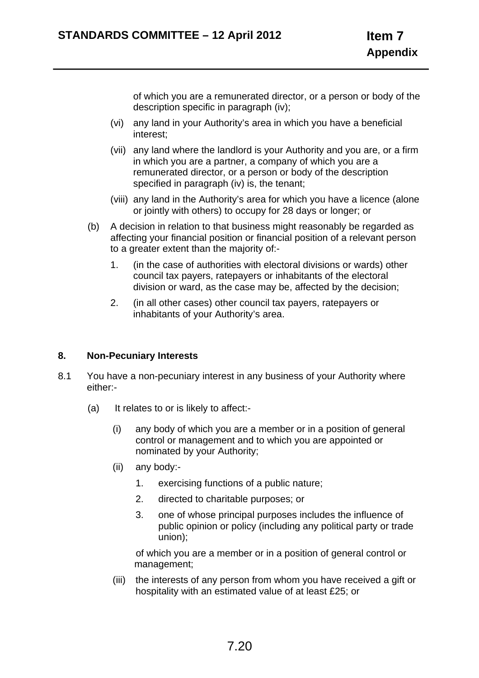of which you are a remunerated director, or a person or body of the description specific in paragraph (iv);

- (vi) any land in your Authority's area in which you have a beneficial interest;
- (vii) any land where the landlord is your Authority and you are, or a firm in which you are a partner, a company of which you are a remunerated director, or a person or body of the description specified in paragraph (iv) is, the tenant;
- (viii) any land in the Authority's area for which you have a licence (alone or jointly with others) to occupy for 28 days or longer; or
- (b) A decision in relation to that business might reasonably be regarded as affecting your financial position or financial position of a relevant person to a greater extent than the majority of:-
	- 1. (in the case of authorities with electoral divisions or wards) other council tax payers, ratepayers or inhabitants of the electoral division or ward, as the case may be, affected by the decision;
	- 2. (in all other cases) other council tax payers, ratepayers or inhabitants of your Authority's area.

### **8. Non-Pecuniary Interests**

- 8.1 You have a non-pecuniary interest in any business of your Authority where either:-
	- (a) It relates to or is likely to affect:-
		- (i) any body of which you are a member or in a position of general control or management and to which you are appointed or nominated by your Authority;
		- (ii) any body:-
			- 1. exercising functions of a public nature;
			- 2. directed to charitable purposes; or
			- 3. one of whose principal purposes includes the influence of public opinion or policy (including any political party or trade union);

 of which you are a member or in a position of general control or management;

(iii) the interests of any person from whom you have received a gift or hospitality with an estimated value of at least £25; or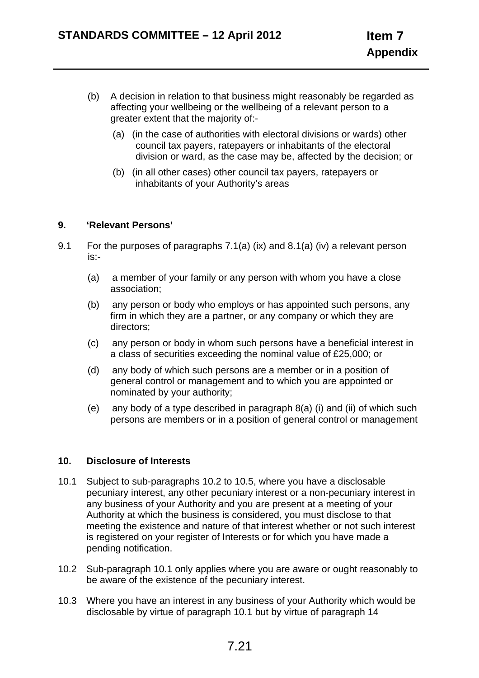- (b) A decision in relation to that business might reasonably be regarded as affecting your wellbeing or the wellbeing of a relevant person to a greater extent that the majority of:-
	- (a) (in the case of authorities with electoral divisions or wards) other council tax payers, ratepayers or inhabitants of the electoral division or ward, as the case may be, affected by the decision; or
	- (b) (in all other cases) other council tax payers, ratepayers or inhabitants of your Authority's areas

### **9. 'Relevant Persons'**

- 9.1 For the purposes of paragraphs 7.1(a) (ix) and 8.1(a) (iv) a relevant person is:-
	- (a) a member of your family or any person with whom you have a close association;
	- (b) any person or body who employs or has appointed such persons, any firm in which they are a partner, or any company or which they are directors;
	- (c) any person or body in whom such persons have a beneficial interest in a class of securities exceeding the nominal value of £25,000; or
	- (d) any body of which such persons are a member or in a position of general control or management and to which you are appointed or nominated by your authority;
	- (e) any body of a type described in paragraph 8(a) (i) and (ii) of which such persons are members or in a position of general control or management

### **10. Disclosure of Interests**

- 10.1 Subject to sub-paragraphs 10.2 to 10.5, where you have a disclosable pecuniary interest, any other pecuniary interest or a non-pecuniary interest in any business of your Authority and you are present at a meeting of your Authority at which the business is considered, you must disclose to that meeting the existence and nature of that interest whether or not such interest is registered on your register of Interests or for which you have made a pending notification.
- 10.2 Sub-paragraph 10.1 only applies where you are aware or ought reasonably to be aware of the existence of the pecuniary interest.
- 10.3 Where you have an interest in any business of your Authority which would be disclosable by virtue of paragraph 10.1 but by virtue of paragraph 14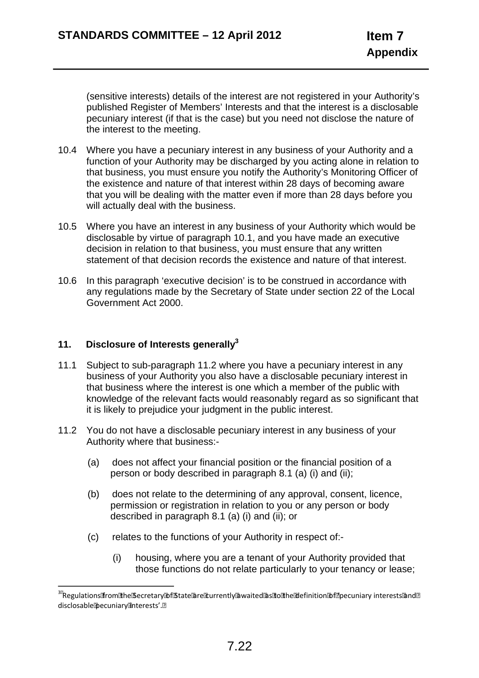(sensitive interests) details of the interest are not registered in your Authority's published Register of Members' Interests and that the interest is a disclosable pecuniary interest (if that is the case) but you need not disclose the nature of the interest to the meeting.

- 10.4 Where you have a pecuniary interest in any business of your Authority and a function of your Authority may be discharged by you acting alone in relation to that business, you must ensure you notify the Authority's Monitoring Officer of the existence and nature of that interest within 28 days of becoming aware that you will be dealing with the matter even if more than 28 days before you will actually deal with the business.
- 10.5 Where you have an interest in any business of your Authority which would be disclosable by virtue of paragraph 10.1, and you have made an executive decision in relation to that business, you must ensure that any written statement of that decision records the existence and nature of that interest.
- 10.6 In this paragraph 'executive decision' is to be construed in accordance with any regulations made by the Secretary of State under section 22 of the Local Government Act 2000.

### **11. Disclosure of Interests generally3**

- 11.1 Subject to sub-paragraph 11.2 where you have a pecuniary interest in any business of your Authority you also have a disclosable pecuniary interest in that business where the interest is one which a member of the public with knowledge of the relevant facts would reasonably regard as so significant that it is likely to prejudice your judgment in the public interest.
- 11.2 You do not have a disclosable pecuniary interest in any business of your Authority where that business:-
	- (a) does not affect your financial position or the financial position of a person or body described in paragraph 8.1 (a) (i) and (ii);
	- (b) does not relate to the determining of any approval, consent, licence, permission or registration in relation to you or any person or body described in paragraph 8.1 (a) (i) and (ii); or
	- (c) relates to the functions of your Authority in respect of:-
		- (i) housing, where you are a tenant of your Authority provided that those functions do not relate particularly to your tenancy or lease;

<sup>&</sup>lt;sup>3</sup> Regulations from the යිecretary කි fයිtate are to urrently awaited as to the adefinition කි funce uniary interests and **n** disclosable Decuniary Interests'.<sup>[9]</sup>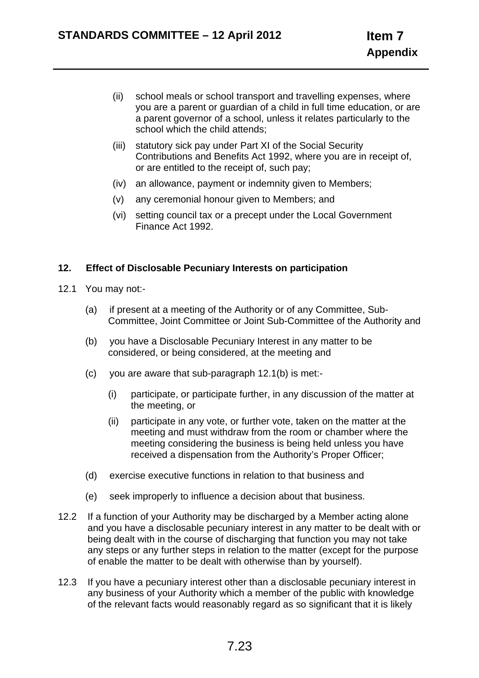- (ii) school meals or school transport and travelling expenses, where you are a parent or guardian of a child in full time education, or are a parent governor of a school, unless it relates particularly to the school which the child attends;
- (iii) statutory sick pay under Part XI of the Social Security Contributions and Benefits Act 1992, where you are in receipt of, or are entitled to the receipt of, such pay;
- (iv) an allowance, payment or indemnity given to Members;
- (v) any ceremonial honour given to Members; and
- (vi) setting council tax or a precept under the Local Government Finance Act 1992.

### **12. Effect of Disclosable Pecuniary Interests on participation**

- 12.1 You may not:-
	- (a) if present at a meeting of the Authority or of any Committee, Sub-Committee, Joint Committee or Joint Sub-Committee of the Authority and
	- (b) you have a Disclosable Pecuniary Interest in any matter to be considered, or being considered, at the meeting and
	- (c) you are aware that sub-paragraph 12.1(b) is met:-
		- (i) participate, or participate further, in any discussion of the matter at the meeting, or
		- (ii) participate in any vote, or further vote, taken on the matter at the meeting and must withdraw from the room or chamber where the meeting considering the business is being held unless you have received a dispensation from the Authority's Proper Officer;
	- (d) exercise executive functions in relation to that business and
	- (e) seek improperly to influence a decision about that business.
- 12.2 If a function of your Authority may be discharged by a Member acting alone and you have a disclosable pecuniary interest in any matter to be dealt with or being dealt with in the course of discharging that function you may not take any steps or any further steps in relation to the matter (except for the purpose of enable the matter to be dealt with otherwise than by yourself).
- 12.3 If you have a pecuniary interest other than a disclosable pecuniary interest in any business of your Authority which a member of the public with knowledge of the relevant facts would reasonably regard as so significant that it is likely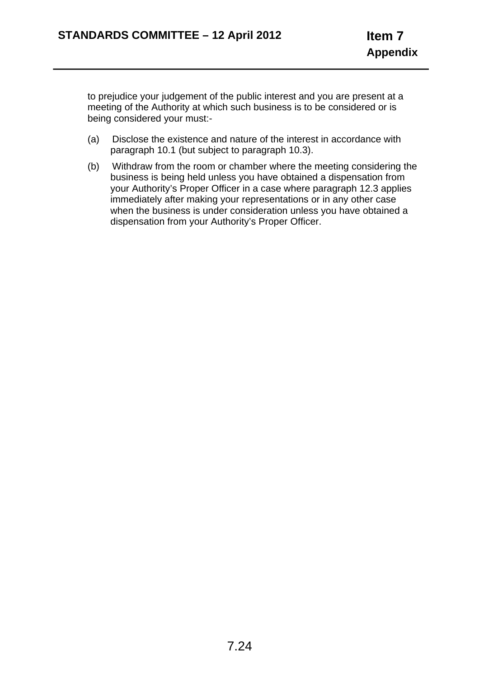to prejudice your judgement of the public interest and you are present at a meeting of the Authority at which such business is to be considered or is being considered your must:-

- (a) Disclose the existence and nature of the interest in accordance with paragraph 10.1 (but subject to paragraph 10.3).
- (b) Withdraw from the room or chamber where the meeting considering the business is being held unless you have obtained a dispensation from your Authority's Proper Officer in a case where paragraph 12.3 applies immediately after making your representations or in any other case when the business is under consideration unless you have obtained a dispensation from your Authority's Proper Officer.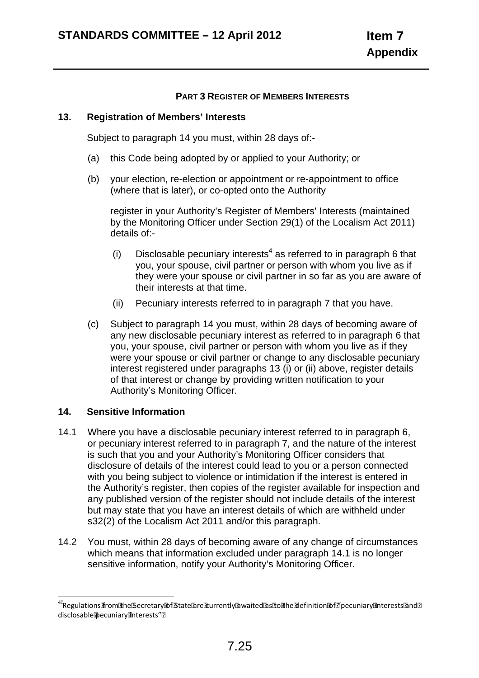### **PART 3 REGISTER OF MEMBERS INTERESTS**

#### **13. Registration of Members' Interests**

Subject to paragraph 14 you must, within 28 days of:-

- (a) this Code being adopted by or applied to your Authority; or
- (b) your election, re-election or appointment or re-appointment to office (where that is later), or co-opted onto the Authority

register in your Authority's Register of Members' Interests (maintained by the Monitoring Officer under Section 29(1) of the Localism Act 2011) details of:-

- (i) Disclosable pecuniary interests<sup>4</sup> as referred to in paragraph 6 that you, your spouse, civil partner or person with whom you live as if they were your spouse or civil partner in so far as you are aware of their interests at that time.
- (ii) Pecuniary interests referred to in paragraph 7 that you have.
- (c) Subject to paragraph 14 you must, within 28 days of becoming aware of any new disclosable pecuniary interest as referred to in paragraph 6 that you, your spouse, civil partner or person with whom you live as if they were your spouse or civil partner or change to any disclosable pecuniary interest registered under paragraphs 13 (i) or (ii) above, register details of that interest or change by providing written notification to your Authority's Monitoring Officer.

### **14. Sensitive Information**

- 14.1 Where you have a disclosable pecuniary interest referred to in paragraph 6, or pecuniary interest referred to in paragraph 7, and the nature of the interest is such that you and your Authority's Monitoring Officer considers that disclosure of details of the interest could lead to you or a person connected with you being subject to violence or intimidation if the interest is entered in the Authority's register, then copies of the register available for inspection and any published version of the register should not include details of the interest but may state that you have an interest details of which are withheld under s32(2) of the Localism Act 2011 and/or this paragraph.
- 14.2 You must, within 28 days of becoming aware of any change of circumstances which means that information excluded under paragraph 14.1 is no longer sensitive information, notify your Authority's Monitoring Officer.

 $^{45}$ Regulations from the Secretary Ibf State @re turrently @waited @s sito the Ible finition Ibf [?] pecuniary interests @nd [?] disclosable Decuniary anterests" ?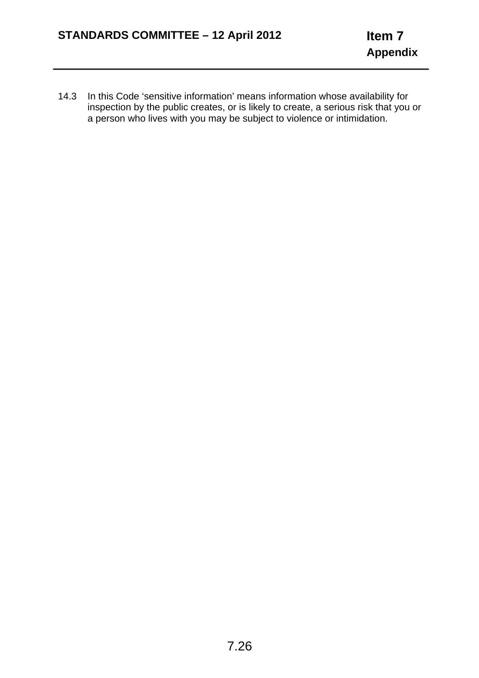14.3 In this Code 'sensitive information' means information whose availability for inspection by the public creates, or is likely to create, a serious risk that you or a person who lives with you may be subject to violence or intimidation.